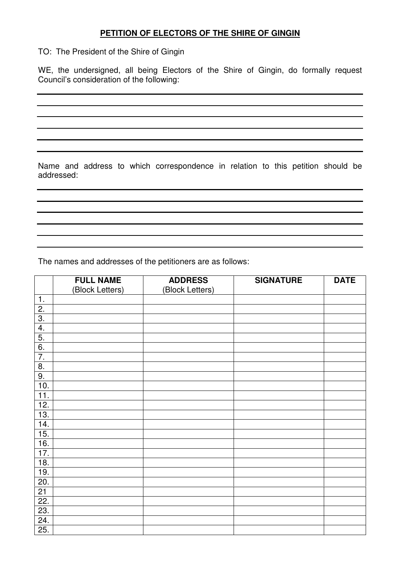## **PETITION OF ELECTORS OF THE SHIRE OF GINGIN**

TO: The President of the Shire of Gingin

WE, the undersigned, all being Electors of the Shire of Gingin, do formally request Council's consideration of the following:

Name and address to which correspondence in relation to this petition should be addressed:

The names and addresses of the petitioners are as follows:

|                  | <b>FULL NAME</b> | <b>ADDRESS</b>  | <b>SIGNATURE</b> | <b>DATE</b> |
|------------------|------------------|-----------------|------------------|-------------|
|                  | (Block Letters)  | (Block Letters) |                  |             |
| 1.               |                  |                 |                  |             |
| $\overline{2}$ . |                  |                 |                  |             |
| $\overline{3}$ . |                  |                 |                  |             |
| 4.               |                  |                 |                  |             |
| 5.               |                  |                 |                  |             |
| 6.               |                  |                 |                  |             |
| $\overline{7}$ . |                  |                 |                  |             |
| 8.               |                  |                 |                  |             |
| 9.               |                  |                 |                  |             |
| 10.              |                  |                 |                  |             |
| 11.              |                  |                 |                  |             |
| 12.              |                  |                 |                  |             |
| 13.              |                  |                 |                  |             |
| 14.              |                  |                 |                  |             |
| 15.              |                  |                 |                  |             |
| 16.              |                  |                 |                  |             |
| 17.              |                  |                 |                  |             |
| 18.              |                  |                 |                  |             |
| 19.              |                  |                 |                  |             |
| 20.              |                  |                 |                  |             |
| 21               |                  |                 |                  |             |
| 22.              |                  |                 |                  |             |
| 23.              |                  |                 |                  |             |
| 24.              |                  |                 |                  |             |
| 25.              |                  |                 |                  |             |